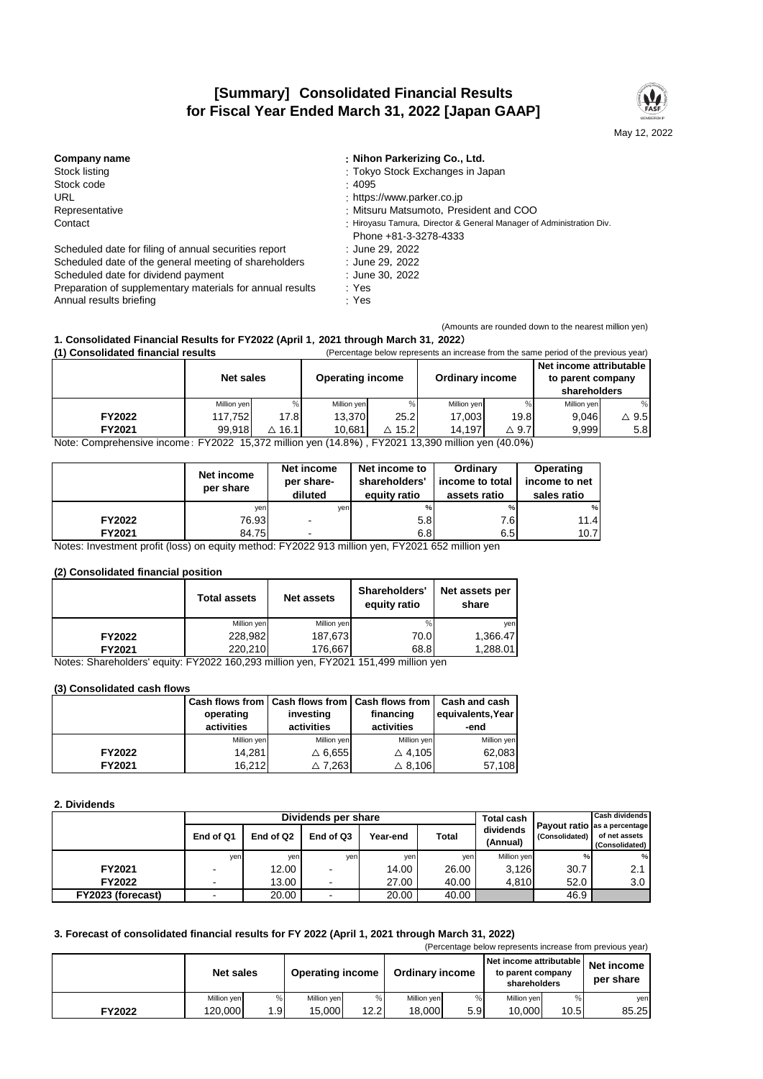# **[Summary] Consolidated Financial Results for Fiscal Year Ended March 31, 2022 [Japan GAAP]**



| Company name                                              | : Nihon Parkerizing Co., Ltd.                                                                 |
|-----------------------------------------------------------|-----------------------------------------------------------------------------------------------|
| Stock listing                                             | : Tokyo Stock Exchanges in Japan                                                              |
| Stock code                                                | :4095                                                                                         |
| URL                                                       | : https://www.parker.co.jp                                                                    |
| Representative                                            | : Mitsuru Matsumoto, President and COO                                                        |
| Contact                                                   | : Hiroyasu Tamura, Director & General Manager of Administration Div.<br>Phone +81-3-3278-4333 |
| Scheduled date for filing of annual securities report     | : June 29, 2022                                                                               |
| Scheduled date of the general meeting of shareholders     | : June 29, 2022                                                                               |
| Scheduled date for dividend payment                       | : June 30, 2022                                                                               |
| Preparation of supplementary materials for annual results | : Yes                                                                                         |
| Annual results briefing                                   | : Yes                                                                                         |
|                                                           |                                                                                               |

(Amounts are rounded down to the nearest million yen)

# **1. Consolidated Financial Results for FY2022 (April 1**,**2021 through March 31**,**2022**)

| (1) Consolidated financial results<br>(Percentage below represents an increase from the same period of the previous year) |                  |                  |                         |                  |                        |                 |                                                              |                 |
|---------------------------------------------------------------------------------------------------------------------------|------------------|------------------|-------------------------|------------------|------------------------|-----------------|--------------------------------------------------------------|-----------------|
|                                                                                                                           | <b>Net sales</b> |                  | <b>Operating income</b> |                  | <b>Ordinary income</b> |                 | Net income attributable<br>to parent company<br>shareholders |                 |
|                                                                                                                           | Million yen      | %                | Million ven             |                  | Million yen            | %               | Million yen                                                  | %               |
| <b>FY2022</b>                                                                                                             | 117.752          | 17.8             | 13.370                  | 25.2             | 17.003                 | 19.8            | 9.046                                                        | $\triangle$ 9.5 |
| FY2021                                                                                                                    | 99.918           | $\triangle$ 16.1 | 10.681                  | $\triangle$ 15.2 | 14.197                 | $\triangle$ 9.7 | 9.999                                                        | 5.8             |

Note: Comprehensive income: FY2022 15,372 million yen (14.8%) , FY2021 13,390 million yen (40.0%)

|               | Net income<br>per share | Net income<br>per share-<br>diluted | Net income to<br>shareholders'<br>equity ratio | <b>Ordinary</b><br>income to total<br>assets ratio | Operating<br>income to net<br>sales ratio |  |
|---------------|-------------------------|-------------------------------------|------------------------------------------------|----------------------------------------------------|-------------------------------------------|--|
|               | yen                     | ven                                 | %                                              | $\%$                                               | %                                         |  |
| <b>FY2022</b> | 76.93                   |                                     | 5.8                                            | 7.6I                                               | 11.4                                      |  |
| FY2021        | 84.75                   |                                     | 6.8                                            | 6.5                                                | 10.7                                      |  |

Notes: Investment profit (loss) on equity method: FY2022 913 million yen, FY2021 652 million yen

#### **(2) Consolidated financial position**

|               | <b>Total assets</b> | <b>Net assets</b> | Shareholders'<br>equity ratio | Net assets per<br>share |  |
|---------------|---------------------|-------------------|-------------------------------|-------------------------|--|
|               | Million yen         | Million yen       |                               | ven                     |  |
| <b>FY2022</b> | 228,982             | 187,673           | 70.0                          | 1,366.47                |  |
| FY2021        | 220,210             | 176,667           | 68.8                          | 1,288.01                |  |

Notes: Shareholders' equity: FY2022 160,293 million yen, FY2021 151,499 million yen

### **(3) Consolidated cash flows**

|               | operating<br>activities | Cash flows from   Cash flows from   Cash flows from  <br>investing<br>activities | financing<br>activities | Cash and cash<br>equivalents, Year<br>-end |  |
|---------------|-------------------------|----------------------------------------------------------------------------------|-------------------------|--------------------------------------------|--|
|               | Million yen             | Million yen                                                                      | Million yen             | Million yen                                |  |
| <b>FY2022</b> | 14,281                  | $\triangle$ 6.655                                                                | $\triangle$ 4,105       | 62,083                                     |  |
| FY2021        | 16,212                  | $\triangle$ 7.263                                                                | $\triangle$ 8.106       | 57,108                                     |  |

#### **2. Dividends**

|                   |                          |           | Dividends per share |          |              | Total cash            | Cash dividends |                                                                  |  |
|-------------------|--------------------------|-----------|---------------------|----------|--------------|-----------------------|----------------|------------------------------------------------------------------|--|
|                   | End of Q1                | End of Q2 | End of Q3           | Year-end | <b>Total</b> | dividends<br>(Annual) | (Consolidated) | Pavout ratio las a percentage<br>of net assets<br>(Consolidated) |  |
|                   | yen                      | yen       | ven                 | yen      | ven          | Million ven           |                | %                                                                |  |
| FY2021            | $\overline{\phantom{a}}$ | 12.00     |                     | 14.00    | 26.00        | 3.126                 | 30.7           | 2.1                                                              |  |
| <b>FY2022</b>     | $\overline{\phantom{a}}$ | 13.00     |                     | 27.00    | 40.00        | 4.810                 | 52.0           | 3.0                                                              |  |
| FY2023 (forecast) |                          | 20.00     |                     | 20.00    | 40.00        |                       | 46.9           |                                                                  |  |

## **3. Forecast of consolidated financial results for FY 2022 (April 1, 2021 through March 31, 2022)**

|        | (Percentage below represents increase from previous year) |     |                         |      |                        |     |                                                              |      |                         |  |  |
|--------|-----------------------------------------------------------|-----|-------------------------|------|------------------------|-----|--------------------------------------------------------------|------|-------------------------|--|--|
|        | <b>Net sales</b>                                          |     | <b>Operating income</b> |      | <b>Ordinary income</b> |     | Net income attributable<br>to parent company<br>shareholders |      | Net income<br>per share |  |  |
|        | Million yen                                               | %   | Million yen             | %    | Million yen            |     | Million yen                                                  |      | yen                     |  |  |
| FY2022 | 120.000                                                   | 1.9 | 15.000                  | 12.2 | 18,000                 | 5.9 | 10.000                                                       | 10.5 | 85.25                   |  |  |